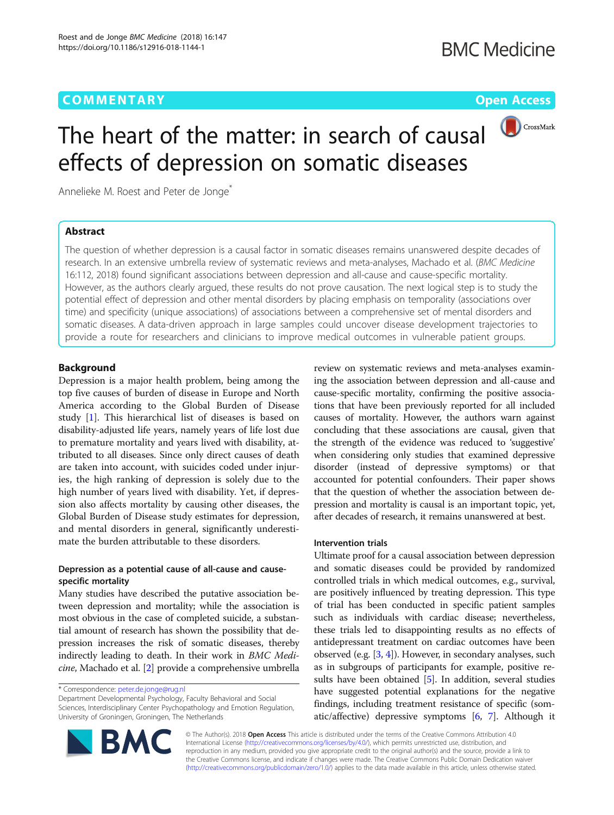# **COMMENTARY COMMENTARY Open Access**



# The heart of the matter: in search of causal effects of depression on somatic diseases

Annelieke M. Roest and Peter de Jonge<sup>\*</sup>

## Abstract

The question of whether depression is a causal factor in somatic diseases remains unanswered despite decades of research. In an extensive umbrella review of systematic reviews and meta-analyses, Machado et al. (BMC Medicine 16:112, 2018) found significant associations between depression and all-cause and cause-specific mortality. However, as the authors clearly argued, these results do not prove causation. The next logical step is to study the potential effect of depression and other mental disorders by placing emphasis on temporality (associations over time) and specificity (unique associations) of associations between a comprehensive set of mental disorders and somatic diseases. A data-driven approach in large samples could uncover disease development trajectories to provide a route for researchers and clinicians to improve medical outcomes in vulnerable patient groups.

#### Background

Depression is a major health problem, being among the top five causes of burden of disease in Europe and North America according to the Global Burden of Disease study [\[1](#page-1-0)]. This hierarchical list of diseases is based on disability-adjusted life years, namely years of life lost due to premature mortality and years lived with disability, attributed to all diseases. Since only direct causes of death are taken into account, with suicides coded under injuries, the high ranking of depression is solely due to the high number of years lived with disability. Yet, if depression also affects mortality by causing other diseases, the Global Burden of Disease study estimates for depression, and mental disorders in general, significantly underestimate the burden attributable to these disorders.

### Depression as a potential cause of all-cause and causespecific mortality

Many studies have described the putative association between depression and mortality; while the association is most obvious in the case of completed suicide, a substantial amount of research has shown the possibility that depression increases the risk of somatic diseases, thereby indirectly leading to death. In their work in BMC Medicine, Machado et al. [[2\]](#page-2-0) provide a comprehensive umbrella

Department Developmental Psychology, Faculty Behavioral and Social Sciences, Interdisciplinary Center Psychopathology and Emotion Regulation, University of Groningen, Groningen, The Netherlands



#### Intervention trials

Ultimate proof for a causal association between depression and somatic diseases could be provided by randomized controlled trials in which medical outcomes, e.g., survival, are positively influenced by treating depression. This type of trial has been conducted in specific patient samples such as individuals with cardiac disease; nevertheless, these trials led to disappointing results as no effects of antidepressant treatment on cardiac outcomes have been observed (e.g. [[3,](#page-2-0) [4](#page-2-0)]). However, in secondary analyses, such as in subgroups of participants for example, positive re-sults have been obtained [\[5\]](#page-2-0). In addition, several studies have suggested potential explanations for the negative findings, including treatment resistance of specific (somatic/affective) depressive symptoms [[6,](#page-2-0) [7](#page-2-0)]. Although it



© The Author(s). 2018 Open Access This article is distributed under the terms of the Creative Commons Attribution 4.0 International License [\(http://creativecommons.org/licenses/by/4.0/](http://creativecommons.org/licenses/by/4.0/)), which permits unrestricted use, distribution, and reproduction in any medium, provided you give appropriate credit to the original author(s) and the source, provide a link to the Creative Commons license, and indicate if changes were made. The Creative Commons Public Domain Dedication waiver [\(http://creativecommons.org/publicdomain/zero/1.0/](http://creativecommons.org/publicdomain/zero/1.0/)) applies to the data made available in this article, unless otherwise stated.

<sup>\*</sup> Correspondence: [peter.de.jonge@rug.nl](mailto:peter.de.jonge@rug.nl)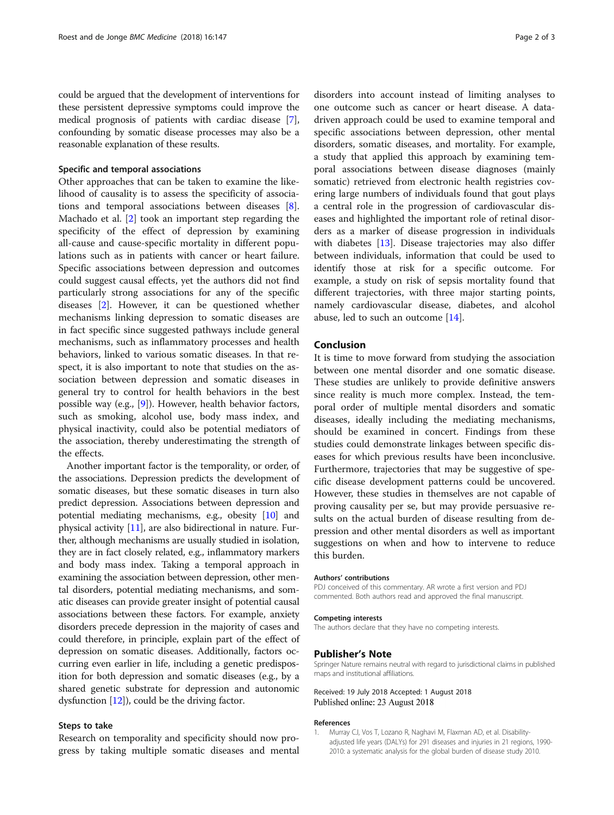<span id="page-1-0"></span>could be argued that the development of interventions for these persistent depressive symptoms could improve the medical prognosis of patients with cardiac disease [[7](#page-2-0)], confounding by somatic disease processes may also be a reasonable explanation of these results.

#### Specific and temporal associations

Other approaches that can be taken to examine the likelihood of causality is to assess the specificity of associations and temporal associations between diseases [\[8](#page-2-0)]. Machado et al. [[2\]](#page-2-0) took an important step regarding the specificity of the effect of depression by examining all-cause and cause-specific mortality in different populations such as in patients with cancer or heart failure. Specific associations between depression and outcomes could suggest causal effects, yet the authors did not find particularly strong associations for any of the specific diseases [\[2](#page-2-0)]. However, it can be questioned whether mechanisms linking depression to somatic diseases are in fact specific since suggested pathways include general mechanisms, such as inflammatory processes and health behaviors, linked to various somatic diseases. In that respect, it is also important to note that studies on the association between depression and somatic diseases in general try to control for health behaviors in the best possible way (e.g., [\[9](#page-2-0)]). However, health behavior factors, such as smoking, alcohol use, body mass index, and physical inactivity, could also be potential mediators of the association, thereby underestimating the strength of the effects.

Another important factor is the temporality, or order, of the associations. Depression predicts the development of somatic diseases, but these somatic diseases in turn also predict depression. Associations between depression and potential mediating mechanisms, e.g., obesity [\[10](#page-2-0)] and physical activity [\[11](#page-2-0)], are also bidirectional in nature. Further, although mechanisms are usually studied in isolation, they are in fact closely related, e.g., inflammatory markers and body mass index. Taking a temporal approach in examining the association between depression, other mental disorders, potential mediating mechanisms, and somatic diseases can provide greater insight of potential causal associations between these factors. For example, anxiety disorders precede depression in the majority of cases and could therefore, in principle, explain part of the effect of depression on somatic diseases. Additionally, factors occurring even earlier in life, including a genetic predisposition for both depression and somatic diseases (e.g., by a shared genetic substrate for depression and autonomic dysfunction [\[12\]](#page-2-0)), could be the driving factor.

#### Steps to take

Research on temporality and specificity should now progress by taking multiple somatic diseases and mental disorders into account instead of limiting analyses to one outcome such as cancer or heart disease. A datadriven approach could be used to examine temporal and specific associations between depression, other mental disorders, somatic diseases, and mortality. For example, a study that applied this approach by examining temporal associations between disease diagnoses (mainly somatic) retrieved from electronic health registries covering large numbers of individuals found that gout plays a central role in the progression of cardiovascular diseases and highlighted the important role of retinal disorders as a marker of disease progression in individuals with diabetes [[13](#page-2-0)]. Disease trajectories may also differ between individuals, information that could be used to identify those at risk for a specific outcome. For example, a study on risk of sepsis mortality found that different trajectories, with three major starting points, namely cardiovascular disease, diabetes, and alcohol abuse, led to such an outcome [\[14](#page-2-0)].

#### Conclusion

It is time to move forward from studying the association between one mental disorder and one somatic disease. These studies are unlikely to provide definitive answers since reality is much more complex. Instead, the temporal order of multiple mental disorders and somatic diseases, ideally including the mediating mechanisms, should be examined in concert. Findings from these studies could demonstrate linkages between specific diseases for which previous results have been inconclusive. Furthermore, trajectories that may be suggestive of specific disease development patterns could be uncovered. However, these studies in themselves are not capable of proving causality per se, but may provide persuasive results on the actual burden of disease resulting from depression and other mental disorders as well as important suggestions on when and how to intervene to reduce this burden.

#### Authors' contributions

PDJ conceived of this commentary. AR wrote a first version and PDJ commented. Both authors read and approved the final manuscript.

#### Competing interests

The authors declare that they have no competing interests.

#### Publisher's Note

Springer Nature remains neutral with regard to jurisdictional claims in published maps and institutional affiliations.

#### Received: 19 July 2018 Accepted: 1 August 2018 Published online: 23 August 2018

#### References

Murray CJ, Vos T, Lozano R, Naghavi M, Flaxman AD, et al. Disabilityadjusted life years (DALYs) for 291 diseases and injuries in 21 regions, 1990- 2010: a systematic analysis for the global burden of disease study 2010.